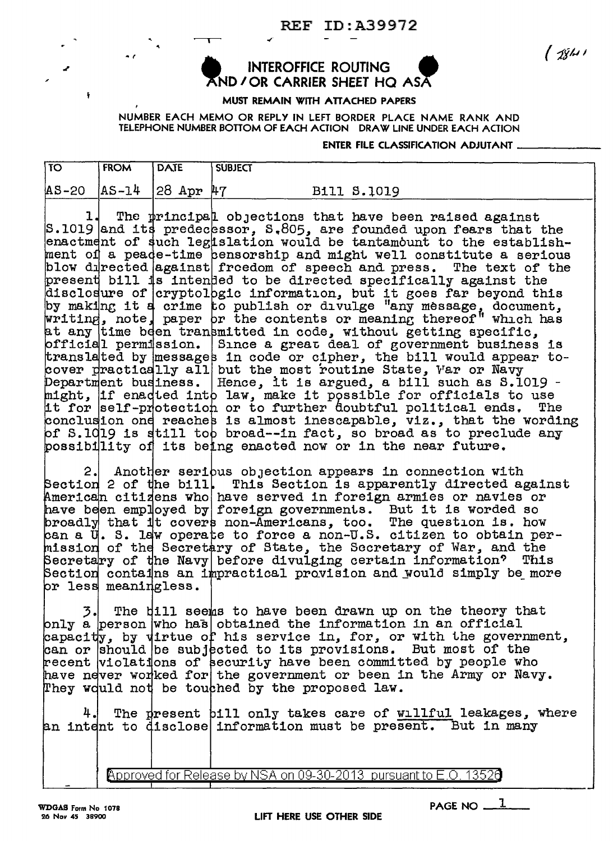**REF ID: A39972** 

 $15811$ 

## **INTEROFFICE ROUTING** ND / OR CARRIER SHEET HQ ASA

MUST REMAIN WITH ATTACHED PAPERS

NUMBER EACH MEMO OR REPLY IN LEFT BORDER PLACE NAME RANK AND TELEPHONE NUMBER BOTTOM OF EACH ACTION DRAW LINE UNDER EACH ACTION

## ENTER FILE CLASSIFICATION ADJUTANT

| $\overline{10}$ | <b>FROM</b> | <b>DAIE</b>                          | <b>SUBJECT</b> |                                                                                                                                                                                                     |
|-----------------|-------------|--------------------------------------|----------------|-----------------------------------------------------------------------------------------------------------------------------------------------------------------------------------------------------|
|                 |             | $ AS-20 $ $ AS-14 $ $ 28$ Apr $ 47 $ |                | B111 S.1019                                                                                                                                                                                         |
|                 |             |                                      |                |                                                                                                                                                                                                     |
|                 |             |                                      |                |                                                                                                                                                                                                     |
|                 |             |                                      |                | The principal objections that have been raised against<br>S.1019 and its predecessor, S.805, are founded upon fears that the<br>enactment of duch legislation would be tentembunt to the establish- |

such legislation would be tantamount to the establishment of a peade-time censorship and might well constitute a serious blow directed against freedom of speech and press. The text of the present bill is intended to be directed specifically against the disclosure of cryptologic information, but it goes far beyond this by making it a crime to publish or divulge "any message, document, at any time been transmitted in code, without getting specific, official permission. Since a great deal of government business is translated by messages in code or cipher, the bill would appear tocover practically all but the most routine State, Var or Navy<br>Department business. Hence, it is argued, a bill such as S.1019 might, if enadted into law, make it possible for officials to use it for self-protection or to further doubtful political ends. The conclusion one reaches is almost inescapable, viz., that the wording<br>of S.1019 is still too broad--in fact, so broad as to preclude any bossibility of its being enacted now or in the near future.

Another serious objection appears in connection with  $2.1$ Section 2 of the bill. This Section is apparently directed against American citizens who have served in foreign armies or navies or have been employed by foreign governments. But it is worded so<br>broadly that it covers non-Americans, too. The question is. how<br>can a U. S. law operate to force a non-U.S. citizen to obtain permission of the Secretary of State, the Secretary of War, and the Secretary of the Navy before divulging certain information? This Section contains an impractical provision and would simply be more br less meaningless.

The bill seems to have been drawn up on the theory that 3. only a person who has obtained the information in an official capacity, by virtue of his service in, for, or with the government, can or should be subjected to its provisions. But most of the recent violations of security have been committed by people who have never worked for the government or been in the Army or Navy. They would not be touched by the proposed law.

The present bill only takes care of willful leakages, where an intent to disclose information must be present. But in many

Approved for Release by NSA on 09-30-2013 pursuant to E.O. 13526

PAGE NO  $1$